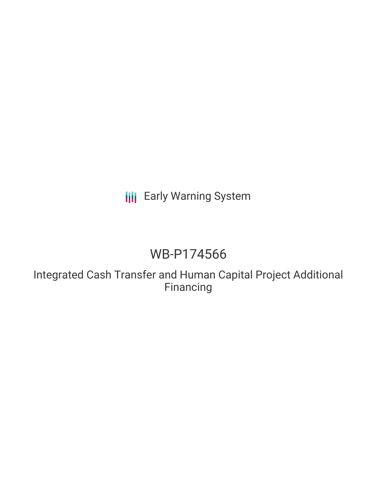# **III** Early Warning System

# WB-P174566

Integrated Cash Transfer and Human Capital Project Additional Financing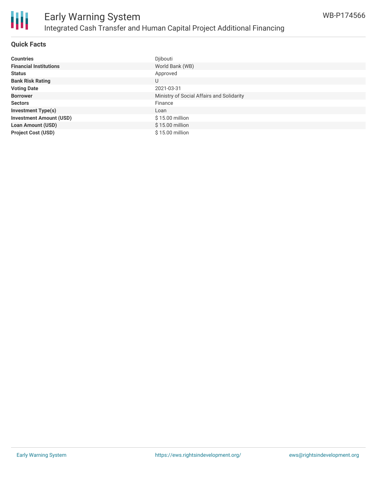

#### **Quick Facts**

| <b>Countries</b>               | Djibouti                                  |
|--------------------------------|-------------------------------------------|
| <b>Financial Institutions</b>  | World Bank (WB)                           |
| <b>Status</b>                  | Approved                                  |
| <b>Bank Risk Rating</b>        | U                                         |
| <b>Voting Date</b>             | 2021-03-31                                |
| <b>Borrower</b>                | Ministry of Social Affairs and Solidarity |
| <b>Sectors</b>                 | Finance                                   |
| <b>Investment Type(s)</b>      | Loan                                      |
| <b>Investment Amount (USD)</b> | $$15.00$ million                          |
| <b>Loan Amount (USD)</b>       | $$15.00$ million                          |
| <b>Project Cost (USD)</b>      | \$15.00 million                           |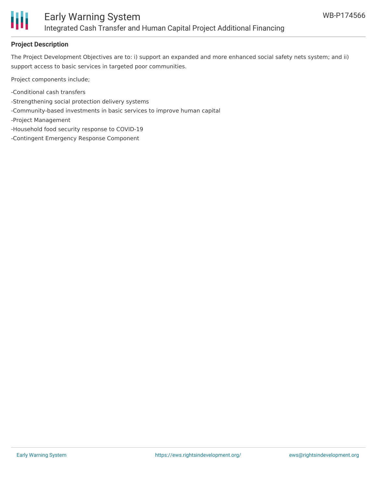

## **Project Description**

The Project Development Objectives are to: i) support an expanded and more enhanced social safety nets system; and ii) support access to basic services in targeted poor communities.

Project components include;

- -Conditional cash transfers
- -Strengthening social protection delivery systems
- -Community-based investments in basic services to improve human capital
- -Project Management
- -Household food security response to COVID-19
- -Contingent Emergency Response Component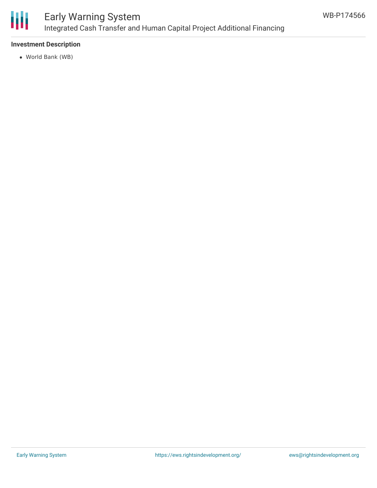

# Early Warning System Integrated Cash Transfer and Human Capital Project Additional Financing

## **Investment Description**

World Bank (WB)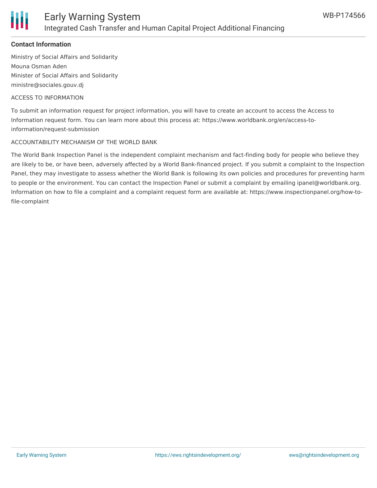

### **Contact Information**

Ministry of Social Affairs and Solidarity Mouna Osman Aden Minister of Social Affairs and Solidarity ministre@sociales.gouv.dj

#### ACCESS TO INFORMATION

To submit an information request for project information, you will have to create an account to access the Access to Information request form. You can learn more about this process at: https://www.worldbank.org/en/access-toinformation/request-submission

#### ACCOUNTABILITY MECHANISM OF THE WORLD BANK

The World Bank Inspection Panel is the independent complaint mechanism and fact-finding body for people who believe they are likely to be, or have been, adversely affected by a World Bank-financed project. If you submit a complaint to the Inspection Panel, they may investigate to assess whether the World Bank is following its own policies and procedures for preventing harm to people or the environment. You can contact the Inspection Panel or submit a complaint by emailing ipanel@worldbank.org. Information on how to file a complaint and a complaint request form are available at: https://www.inspectionpanel.org/how-tofile-complaint